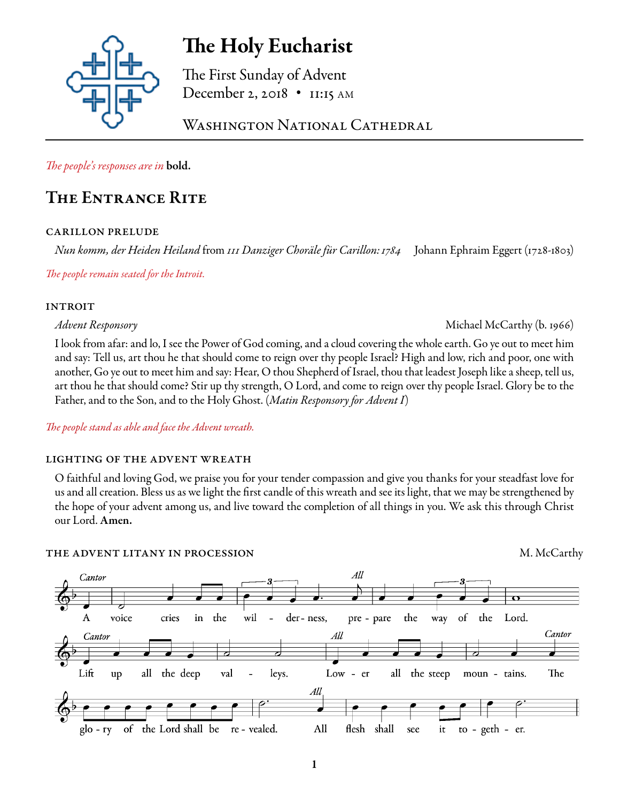

# The Holy Eucharist

The First Sunday of Advent December 2, 2018 • 11:15 AM

WASHINGTON NATIONAL CATHEDRAL

*The people's responses are in* bold.

# The Entrance Rite

# carillon prelude

*Nun komm, der Heiden Heiland* from *111 Danziger Choräle für Carillon:1784* Johann Ephraim Eggert (1728-1803)

*The people remain seated for the Introit.*

# **INTROIT**

*Advent Responsory* Michael McCarthy (b. 1966)

I look from afar: and lo, I see the Power of God coming, and a cloud covering the whole earth. Go ye out to meet him and say: Tell us, art thou he that should come to reign over thy people Israel? High and low, rich and poor, one with another, Go ye out to meet him and say: Hear, O thou Shepherd of Israel, thou that leadest Joseph like a sheep, tell us, art thou he that should come? Stir up thy strength, O Lord, and come to reign over thy people Israel. Glory be to the Father, and to the Son, and to the Holy Ghost. (*Matin Responsory for Advent I*)

*The people stand as able and face the Advent wreath.* 

# lighting of the advent wreath

O faithful and loving God, we praise you for your tender compassion and give you thanks for your steadfast love for us and all creation. Bless us as we light the first candle of this wreath and see its light, that we may be strengthened by the hope of your advent among us, and live toward the completion of all things in you. We ask this through Christ our Lord. Amen.

# THE ADVENT LITANY IN PROCESSION M. McCarthy

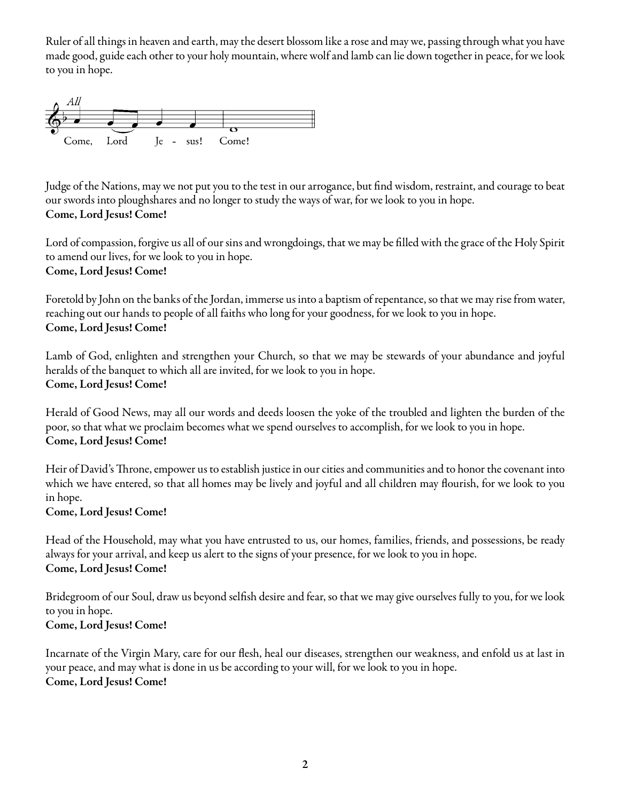Ruler of all things in heaven and earth, may the desert blossom like a rose and may we, passing through what you have made good, guide each other to your holy mountain, where wolf and lamb can lie down together in peace, for we look to you in hope.



Judge of the Nations, may we not put you to the test in our arrogance, but find wisdom, restraint, and courage to beat our swords into ploughshares and no longer to study the ways of war, for we look to you in hope. Come, Lord Jesus! Come!

Lord of compassion, forgive us all of our sins and wrongdoings, that we may be filled with the grace of the Holy Spirit to amend our lives, for we look to you in hope. Come, Lord Jesus! Come!

Foretold by John on the banks of the Jordan, immerse us into a baptism of repentance, so that we may rise from water, reaching out our hands to people of all faiths who long for your goodness, for we look to you in hope. Come, Lord Jesus! Come!

Lamb of God, enlighten and strengthen your Church, so that we may be stewards of your abundance and joyful heralds of the banquet to which all are invited, for we look to you in hope. Come, Lord Jesus! Come!

Herald of Good News, may all our words and deeds loosen the yoke of the troubled and lighten the burden of the poor, so that what we proclaim becomes what we spend ourselves to accomplish, for we look to you in hope. Come, Lord Jesus! Come!

Heir of David's Throne, empower us to establish justice in our cities and communities and to honor the covenant into which we have entered, so that all homes may be lively and joyful and all children may flourish, for we look to you in hope.

## Come, Lord Jesus! Come!

Head of the Household, may what you have entrusted to us, our homes, families, friends, and possessions, be ready always for your arrival, and keep us alert to the signs of your presence, for we look to you in hope. Come, Lord Jesus! Come!

Bridegroom of our Soul, draw us beyond selfish desire and fear, so that we may give ourselves fully to you, for we look to you in hope.

# Come, Lord Jesus! Come!

Incarnate of the Virgin Mary, care for our flesh, heal our diseases, strengthen our weakness, and enfold us at last in your peace, and may what is done in us be according to your will, for we look to you in hope. Come, Lord Jesus! Come!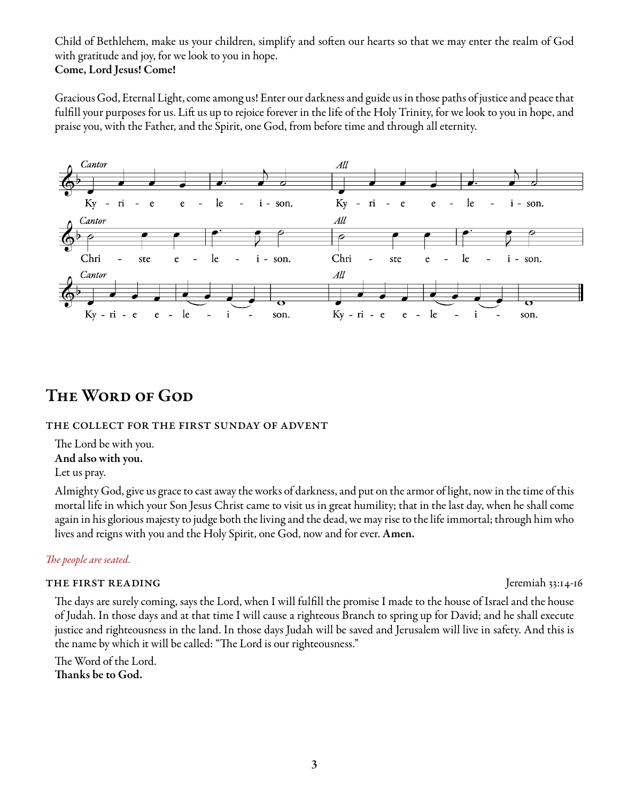Child of Bethlehem, make us your children, simplify and soften our hearts so that we may enter the realm of God with gratitude and joy, for we look to you in hope. Come, Lord Jesus! Come!

Gracious God, Eternal Light, come among us! Enter our darkness and guide us in those paths of justice and peace that fulfill your purposes for us. Lift us up to rejoice forever in the life of the Holy Trinity, for we look to you in hope, and praise you, with the Father, and the Spirit, one God, from before time and through all eternity.



# The Word of God

### the collect for the first sunday of advent

The Lord be with you. And also with you. Let us pray.

Almighty God, give us grace to cast away the works of darkness, and put on the armor of light, now in the time of this mortal life in which your Son Jesus Christ came to visit us in great humility; that in the last day, when he shall come again in his glorious majesty to judge both the living and the dead, we may rise to the life immortal; through him who lives and reigns with you and the Holy Spirit, one God, now and for ever. Amen.

## *The people are seated.*

### THE FIRST READING THE TRANSISED IN THE FIRST READING

The days are surely coming, says the Lord, when I will fulfill the promise I made to the house of Israel and the house of Judah. In those days and at that time I will cause a righteous Branch to spring up for David; and he shall execute justice and righteousness in the land. In those days Judah will be saved and Jerusalem will live in safety. And this is the name by which it will be called: "The Lord is our righteousness."

The Word of the Lord. Thanks be to God.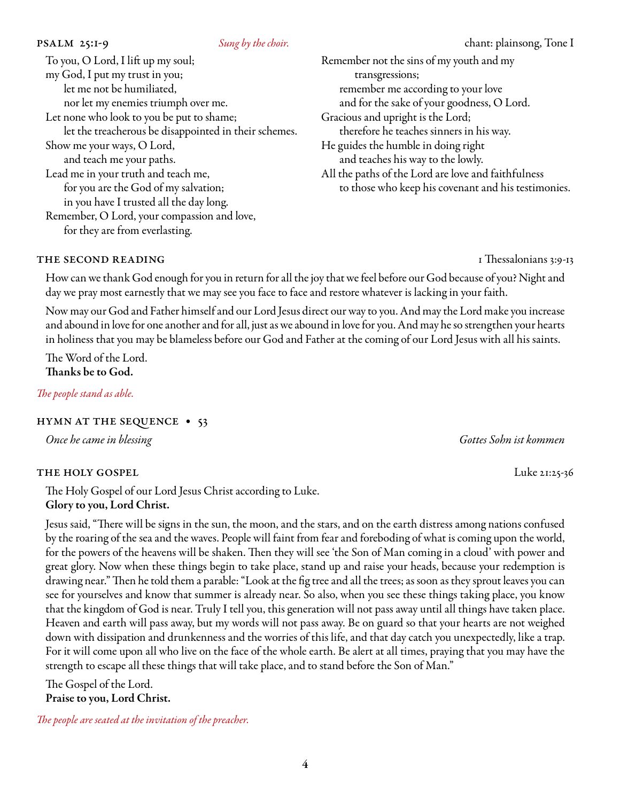| To you, O Lord, I lift up my soul;                    | Remember not the sins of my youth and my            |
|-------------------------------------------------------|-----------------------------------------------------|
| my God, I put my trust in you;                        | transgressions;                                     |
| let me not be humiliated,                             | remember me according to your love                  |
| nor let my enemies triumph over me.                   | and for the sake of your goodness, O Lord.          |
| Let none who look to you be put to shame;             | Gracious and upright is the Lord;                   |
| let the treacherous be disappointed in their schemes. | therefore he teaches sinners in his way.            |
| Show me your ways, O Lord,                            | He guides the humble in doing right                 |
| and teach me your paths.                              | and teaches his way to the lowly.                   |
| Lead me in your truth and teach me,                   | All the paths of the Lord are love and faithfulness |
| for you are the God of my salvation;                  | to those who keep his covenant and his testimonies. |
| in you have I trusted all the day long.               |                                                     |
| Remember, O Lord, your compassion and love,           |                                                     |
| for they are from everlasting.                        |                                                     |
|                                                       |                                                     |

#### THE SECOND READING THE SECOND READING

How can we thank God enough for you in return for all the joy that we feel before our God because of you? Night and day we pray most earnestly that we may see you face to face and restore whatever is lacking in your faith.

Now may our God and Father himself and our Lord Jesus direct our way to you. And may the Lord make you increase and abound in love for one another and for all, just as we abound in love for you. And may he so strengthen your hearts in holiness that you may be blameless before our God and Father at the coming of our Lord Jesus with all his saints.

The Word of the Lord. Thanks be to God.

*The people stand as able.* 

#### hymn at the sequence • 53

#### the holy gospel Luke 21:25-36

The Holy Gospel of our Lord Jesus Christ according to Luke. Glory to you, Lord Christ.

Jesus said, "There will be signs in the sun, the moon, and the stars, and on the earth distress among nations confused by the roaring of the sea and the waves. People will faint from fear and foreboding of what is coming upon the world, for the powers of the heavens will be shaken. Then they will see 'the Son of Man coming in a cloud' with power and great glory. Now when these things begin to take place, stand up and raise your heads, because your redemption is drawing near." Then he told them a parable: "Look at the fig tree and all the trees; as soon as they sprout leaves you can see for yourselves and know that summer is already near. So also, when you see these things taking place, you know that the kingdom of God is near. Truly I tell you, this generation will not pass away until all things have taken place. Heaven and earth will pass away, but my words will not pass away. Be on guard so that your hearts are not weighed down with dissipation and drunkenness and the worries of this life, and that day catch you unexpectedly, like a trap. For it will come upon all who live on the face of the whole earth. Be alert at all times, praying that you may have the strength to escape all these things that will take place, and to stand before the Son of Man."

The Gospel of the Lord. Praise to you, Lord Christ.

*The people are seated at the invitation of the preacher.*

*Once he came in blessing Gottes Sohn ist kommen*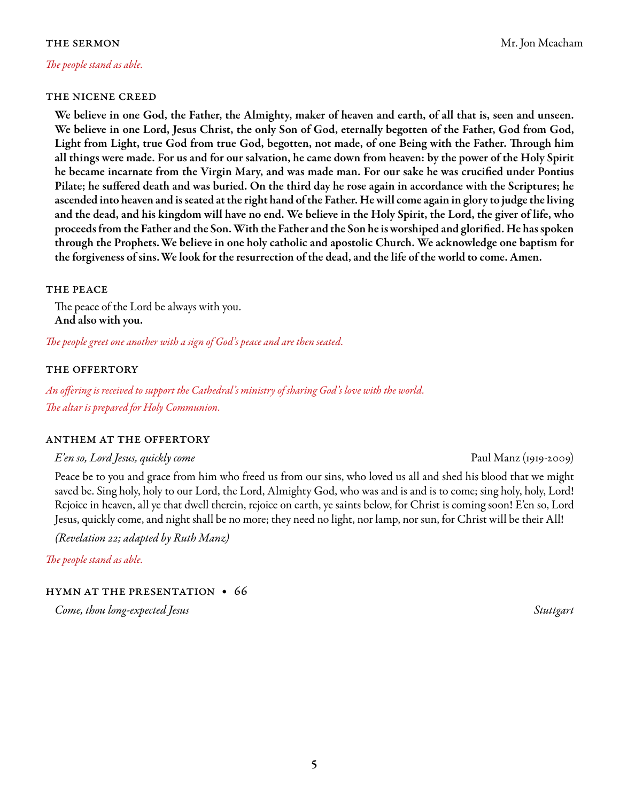#### *The people stand as able.*

#### the nicene creed

We believe in one God, the Father, the Almighty, maker of heaven and earth, of all that is, seen and unseen. We believe in one Lord, Jesus Christ, the only Son of God, eternally begotten of the Father, God from God, Light from Light, true God from true God, begotten, not made, of one Being with the Father. Through him all things were made. For us and for our salvation, he came down from heaven: by the power of the Holy Spirit he became incarnate from the Virgin Mary, and was made man. For our sake he was crucified under Pontius Pilate; he suffered death and was buried. On the third day he rose again in accordance with the Scriptures; he ascended into heaven and is seated at the right hand of the Father. He will come again in glory to judge the living and the dead, and his kingdom will have no end. We believe in the Holy Spirit, the Lord, the giver of life, who proceeds from the Father and the Son. With the Father and the Son he is worshiped and glorified. He has spoken through the Prophets.We believe in one holy catholic and apostolic Church. We acknowledge one baptism for the forgiveness of sins.We look for the resurrection of the dead, and the life of the world to come. Amen.

#### THE PEACE

The peace of the Lord be always with you. And also with you.

*The people greet one another with a sign of God's peace and are then seated.*

#### the offertory

*An offering is received to support the Cathedral's ministry of sharing God's love with the world. The altar is prepared for Holy Communion.*

#### anthem at the offertory

*E'en so, Lord Jesus, quickly come* Paul Manz (1919-2009)

Peace be to you and grace from him who freed us from our sins, who loved us all and shed his blood that we might saved be. Sing holy, holy to our Lord, the Lord, Almighty God, who was and is and is to come; sing holy, holy, Lord! Rejoice in heaven, all ye that dwell therein, rejoice on earth, ye saints below, for Christ is coming soon! E'en so, Lord Jesus, quickly come, and night shall be no more; they need no light, nor lamp, nor sun, for Christ will be their All!

*(Revelation 22; adapted by Ruth Manz)*

*The people stand as able.* 

#### hymn at the presentation • 66

*Come, thou long-expected Jesus Stuttgart*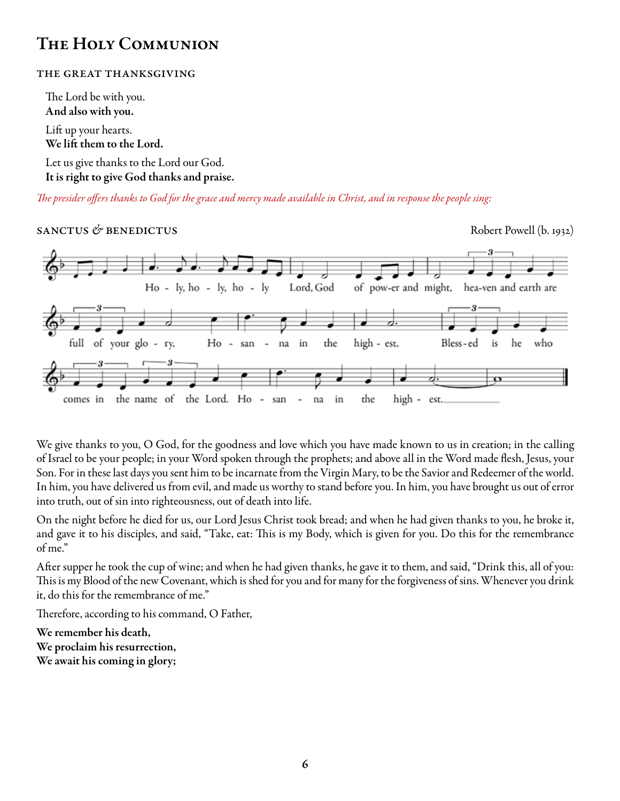# The Holy Communion

### the great thanksgiving

The Lord be with you. And also with you. Lift up your hearts. We lift them to the Lord. Let us give thanks to the Lord our God.

It is right to give God thanks and praise.

*The presider offers thanks to God for the grace and mercy made available in Christ, and in response the people sing:*

## sanctus & benedictus **Containers** Robert Powell (b. 1932)



We give thanks to you, O God, for the goodness and love which you have made known to us in creation; in the calling of Israel to be your people; in your Word spoken through the prophets; and above all in the Word made flesh, Jesus, your Son. For in these last days you sent him to be incarnate from the Virgin Mary, to be the Savior and Redeemer of the world. In him, you have delivered us from evil, and made us worthy to stand before you. In him, you have brought us out of error into truth, out of sin into righteousness, out of death into life.

On the night before he died for us, our Lord Jesus Christ took bread; and when he had given thanks to you, he broke it, and gave it to his disciples, and said, "Take, eat: This is my Body, which is given for you. Do this for the remembrance of me."

After supper he took the cup of wine; and when he had given thanks, he gave it to them, and said, "Drink this, all of you: This is my Blood of the new Covenant, which is shed for you and for many for the forgiveness of sins. Whenever you drink it, do this for the remembrance of me."

Therefore, according to his command, O Father,

We remember his death, We proclaim his resurrection, We await his coming in glory;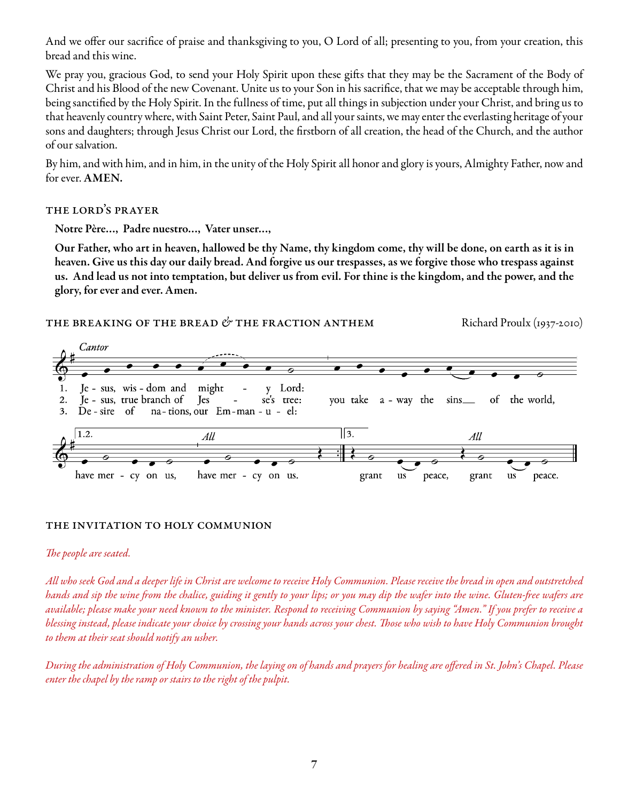And we offer our sacrifice of praise and thanksgiving to you, O Lord of all; presenting to you, from your creation, this bread and this wine.

We pray you, gracious God, to send your Holy Spirit upon these gifts that they may be the Sacrament of the Body of Christ and his Blood of the new Covenant. Unite us to your Son in his sacrifice, that we may be acceptable through him, being sanctified by the Holy Spirit. In the fullness of time, put all things in subjection under your Christ, and bring us to that heavenly country where, with Saint Peter, Saint Paul, and all your saints, we may enter the everlasting heritage of your sons and daughters; through Jesus Christ our Lord, the firstborn of all creation, the head of the Church, and the author of our salvation.

By him, and with him, and in him, in the unity of the Holy Spirit all honor and glory is yours, Almighty Father, now and for ever. AMEN.

### the lord's prayer

Notre Père…, Padre nuestro…, Vater unser…,

Our Father, who art in heaven, hallowed be thy Name, thy kingdom come, thy will be done, on earth as it is in heaven. Give us this day our daily bread. And forgive us our trespasses, as we forgive those who trespass against us. And lead us not into temptation, but deliver us from evil. For thine is the kingdom, and the power, and the glory, for ever and ever. Amen.



### the invitation to holy communion

### *The people are seated.*

*All who seek God and a deeper life in Christ are welcome to receive Holy Communion. Please receive the bread in open and outstretched hands and sip the wine from the chalice, guiding it gently to your lips; or you may dip the wafer into the wine. Gluten-free wafers are available; please make your need known to the minister. Respond to receiving Communion by saying "Amen." If you prefer to receive a blessing instead, please indicate your choice by crossing your hands across your chest. Those who wish to have Holy Communion brought to them at their seat should notify an usher.* 

*During the administration of Holy Communion, the laying on of hands and prayers for healing are offered in St. John's Chapel. Please enter the chapel by the ramp or stairs to the right of the pulpit.*